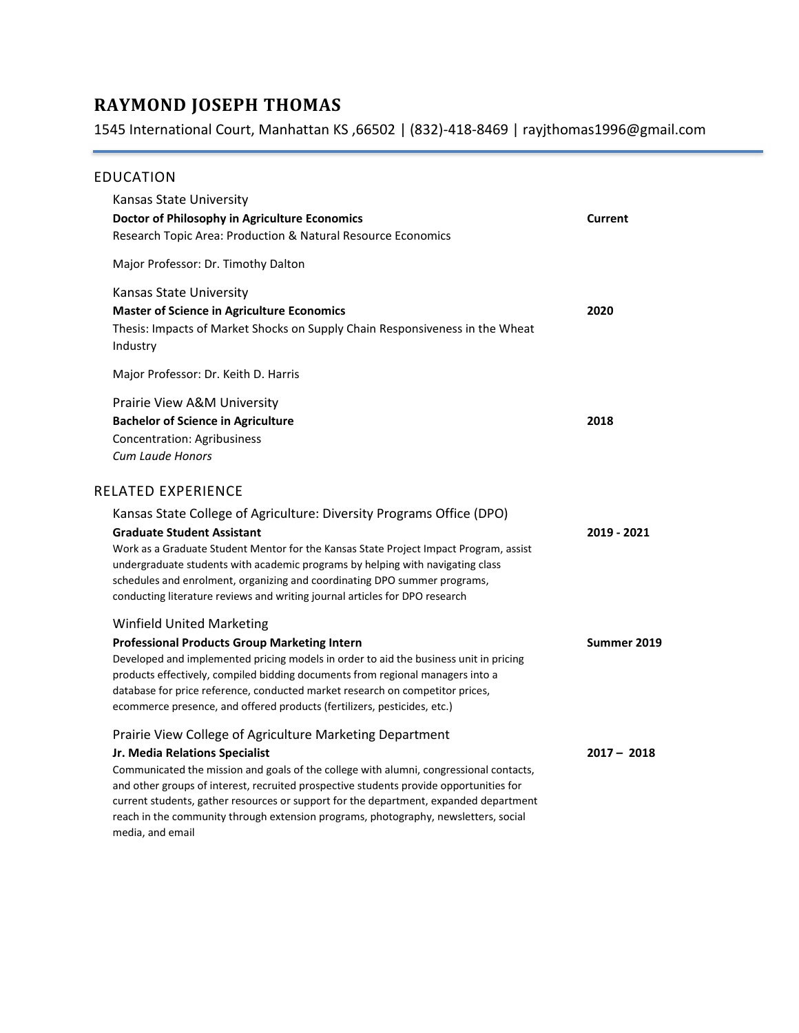# **RAYMOND JOSEPH THOMAS**

1545 International Court, Manhattan KS ,66502 | (832)-418-8469 | rayjthomas1996@gmail.com

#### EDUCATION

| Kansas State University<br>Doctor of Philosophy in Agriculture Economics<br>Research Topic Area: Production & Natural Resource Economics                                                                                                                                                                                                                                                                                                         | <b>Current</b> |
|--------------------------------------------------------------------------------------------------------------------------------------------------------------------------------------------------------------------------------------------------------------------------------------------------------------------------------------------------------------------------------------------------------------------------------------------------|----------------|
| Major Professor: Dr. Timothy Dalton                                                                                                                                                                                                                                                                                                                                                                                                              |                |
| Kansas State University<br><b>Master of Science in Agriculture Economics</b><br>Thesis: Impacts of Market Shocks on Supply Chain Responsiveness in the Wheat<br>Industry                                                                                                                                                                                                                                                                         | 2020           |
| Major Professor: Dr. Keith D. Harris                                                                                                                                                                                                                                                                                                                                                                                                             |                |
| Prairie View A&M University<br><b>Bachelor of Science in Agriculture</b><br><b>Concentration: Agribusiness</b><br><b>Cum Laude Honors</b>                                                                                                                                                                                                                                                                                                        | 2018           |
| RELATED EXPERIENCE                                                                                                                                                                                                                                                                                                                                                                                                                               |                |
| Kansas State College of Agriculture: Diversity Programs Office (DPO)<br><b>Graduate Student Assistant</b><br>Work as a Graduate Student Mentor for the Kansas State Project Impact Program, assist<br>undergraduate students with academic programs by helping with navigating class<br>schedules and enrolment, organizing and coordinating DPO summer programs,<br>conducting literature reviews and writing journal articles for DPO research | 2019 - 2021    |
| <b>Winfield United Marketing</b><br><b>Professional Products Group Marketing Intern</b><br>Developed and implemented pricing models in order to aid the business unit in pricing<br>products effectively, compiled bidding documents from regional managers into a<br>database for price reference, conducted market research on competitor prices,<br>ecommerce presence, and offered products (fertilizers, pesticides, etc.)                  | Summer 2019    |
| Prairie View College of Agriculture Marketing Department                                                                                                                                                                                                                                                                                                                                                                                         |                |
| Jr. Media Relations Specialist<br>Communicated the mission and goals of the college with alumni, congressional contacts,<br>and other groups of interest, recruited prospective students provide opportunities for<br>current students, gather resources or support for the department, expanded department<br>reach in the community through extension programs, photography, newsletters, social<br>media, and email                           | $2017 - 2018$  |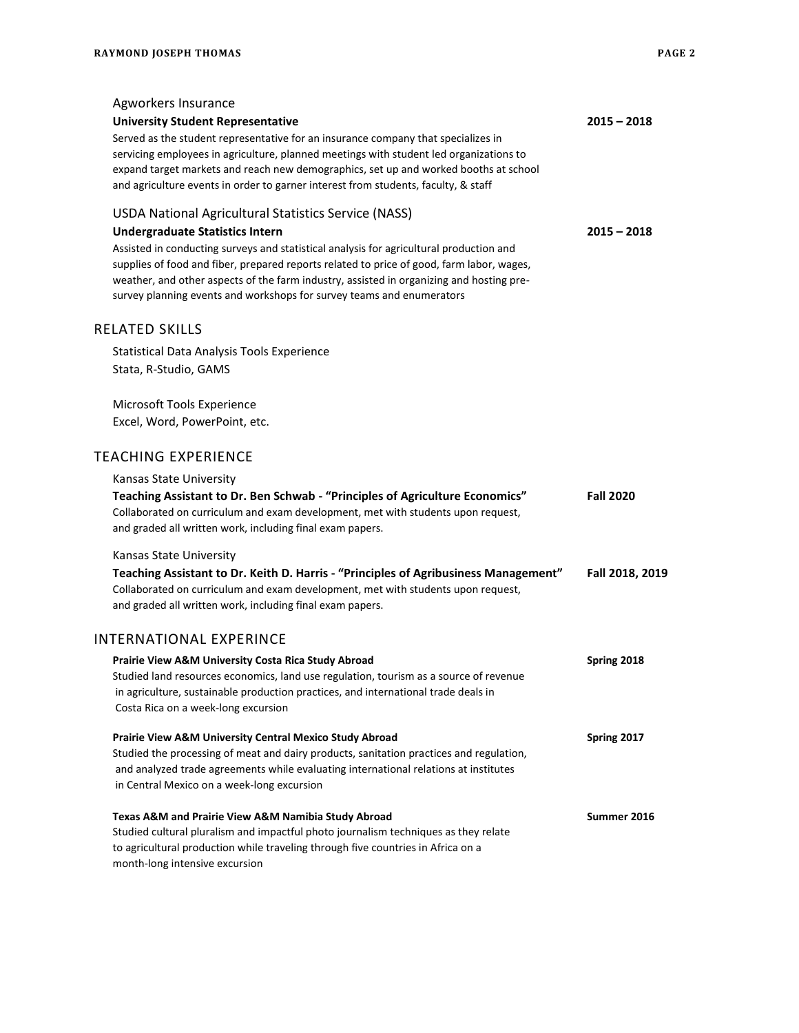| Agworkers Insurance<br><b>University Student Representative</b><br>Served as the student representative for an insurance company that specializes in<br>servicing employees in agriculture, planned meetings with student led organizations to<br>expand target markets and reach new demographics, set up and worked booths at school<br>and agriculture events in order to garner interest from students, faculty, & staff                                | $2015 - 2018$    |
|-------------------------------------------------------------------------------------------------------------------------------------------------------------------------------------------------------------------------------------------------------------------------------------------------------------------------------------------------------------------------------------------------------------------------------------------------------------|------------------|
| USDA National Agricultural Statistics Service (NASS)<br><b>Undergraduate Statistics Intern</b><br>Assisted in conducting surveys and statistical analysis for agricultural production and<br>supplies of food and fiber, prepared reports related to price of good, farm labor, wages,<br>weather, and other aspects of the farm industry, assisted in organizing and hosting pre-<br>survey planning events and workshops for survey teams and enumerators | $2015 - 2018$    |
| <b>RELATED SKILLS</b>                                                                                                                                                                                                                                                                                                                                                                                                                                       |                  |
| Statistical Data Analysis Tools Experience<br>Stata, R-Studio, GAMS                                                                                                                                                                                                                                                                                                                                                                                         |                  |
| Microsoft Tools Experience<br>Excel, Word, PowerPoint, etc.                                                                                                                                                                                                                                                                                                                                                                                                 |                  |
| <b>TEACHING EXPERIENCE</b>                                                                                                                                                                                                                                                                                                                                                                                                                                  |                  |
| Kansas State University<br>Teaching Assistant to Dr. Ben Schwab - "Principles of Agriculture Economics"<br>Collaborated on curriculum and exam development, met with students upon request,<br>and graded all written work, including final exam papers.                                                                                                                                                                                                    | <b>Fall 2020</b> |
| Kansas State University<br>Teaching Assistant to Dr. Keith D. Harris - "Principles of Agribusiness Management"<br>Collaborated on curriculum and exam development, met with students upon request,<br>and graded all written work, including final exam papers.                                                                                                                                                                                             | Fall 2018, 2019  |
| <b>INTERNATIONAL EXPERINCE</b>                                                                                                                                                                                                                                                                                                                                                                                                                              |                  |
| Prairie View A&M University Costa Rica Study Abroad<br>Studied land resources economics, land use regulation, tourism as a source of revenue<br>in agriculture, sustainable production practices, and international trade deals in<br>Costa Rica on a week-long excursion                                                                                                                                                                                   | Spring 2018      |
| Prairie View A&M University Central Mexico Study Abroad<br>Studied the processing of meat and dairy products, sanitation practices and regulation,<br>and analyzed trade agreements while evaluating international relations at institutes<br>in Central Mexico on a week-long excursion                                                                                                                                                                    | Spring 2017      |
| Texas A&M and Prairie View A&M Namibia Study Abroad<br>Studied cultural pluralism and impactful photo journalism techniques as they relate<br>to agricultural production while traveling through five countries in Africa on a<br>month-long intensive excursion                                                                                                                                                                                            | Summer 2016      |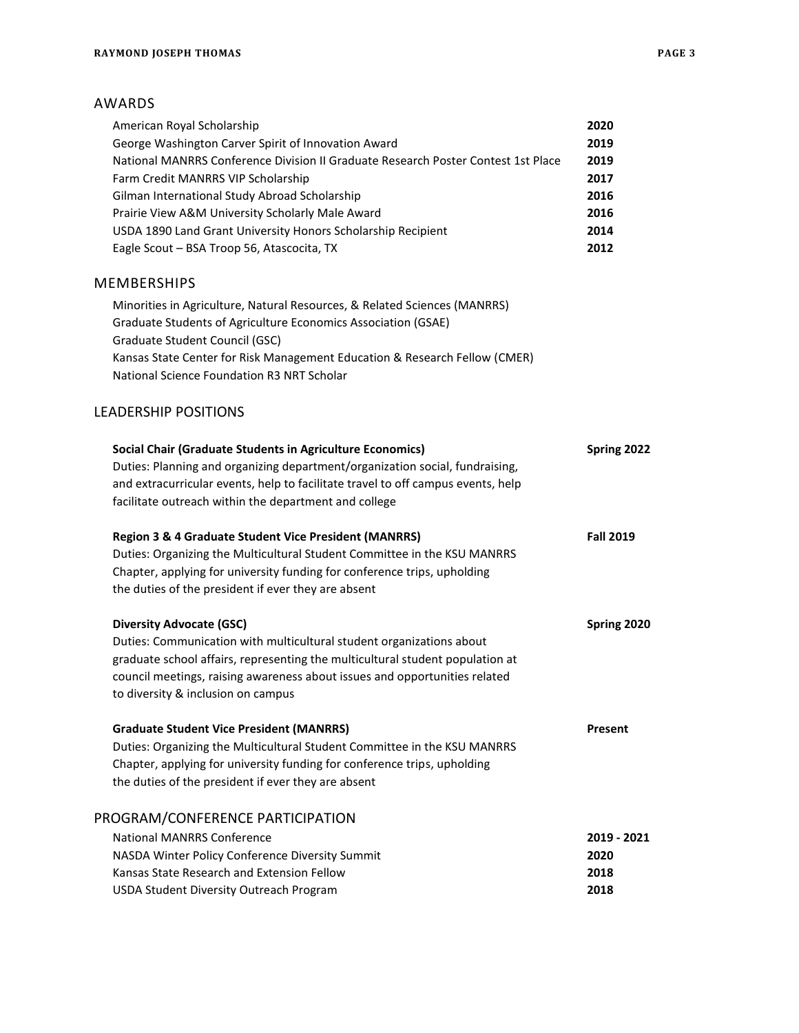## AWARDS

| American Royal Scholarship                                                        | 2020             |
|-----------------------------------------------------------------------------------|------------------|
| George Washington Carver Spirit of Innovation Award                               | 2019             |
| National MANRRS Conference Division II Graduate Research Poster Contest 1st Place | 2019             |
| Farm Credit MANRRS VIP Scholarship                                                | 2017             |
| Gilman International Study Abroad Scholarship                                     | 2016             |
| Prairie View A&M University Scholarly Male Award                                  | 2016             |
| USDA 1890 Land Grant University Honors Scholarship Recipient                      | 2014             |
| Eagle Scout - BSA Troop 56, Atascocita, TX                                        | 2012             |
| <b>MEMBERSHIPS</b>                                                                |                  |
| Minorities in Agriculture, Natural Resources, & Related Sciences (MANRRS)         |                  |
| Graduate Students of Agriculture Economics Association (GSAE)                     |                  |
| Graduate Student Council (GSC)                                                    |                  |
| Kansas State Center for Risk Management Education & Research Fellow (CMER)        |                  |
| National Science Foundation R3 NRT Scholar                                        |                  |
| <b>LEADERSHIP POSITIONS</b>                                                       |                  |
| <b>Social Chair (Graduate Students in Agriculture Economics)</b>                  | Spring 2022      |
| Duties: Planning and organizing department/organization social, fundraising,      |                  |
| and extracurricular events, help to facilitate travel to off campus events, help  |                  |
| facilitate outreach within the department and college                             |                  |
| <b>Region 3 &amp; 4 Graduate Student Vice President (MANRRS)</b>                  | <b>Fall 2019</b> |
| Duties: Organizing the Multicultural Student Committee in the KSU MANRRS          |                  |
| Chapter, applying for university funding for conference trips, upholding          |                  |
| the duties of the president if ever they are absent                               |                  |
| <b>Diversity Advocate (GSC)</b>                                                   | Spring 2020      |
| Duties: Communication with multicultural student organizations about              |                  |
| graduate school affairs, representing the multicultural student population at     |                  |
| council meetings, raising awareness about issues and opportunities related        |                  |
| to diversity & inclusion on campus                                                |                  |
| <b>Graduate Student Vice President (MANRRS)</b>                                   | Present          |
| Duties: Organizing the Multicultural Student Committee in the KSU MANRRS          |                  |
| Chapter, applying for university funding for conference trips, upholding          |                  |
| the duties of the president if ever they are absent                               |                  |
| PROGRAM/CONFERENCE PARTICIPATION                                                  |                  |
| <b>National MANRRS Conference</b>                                                 | 2019 - 2021      |
| NASDA Winter Policy Conference Diversity Summit                                   | 2020             |
| Kansas State Research and Extension Fellow                                        | 2018             |
| USDA Student Diversity Outreach Program                                           | 2018             |